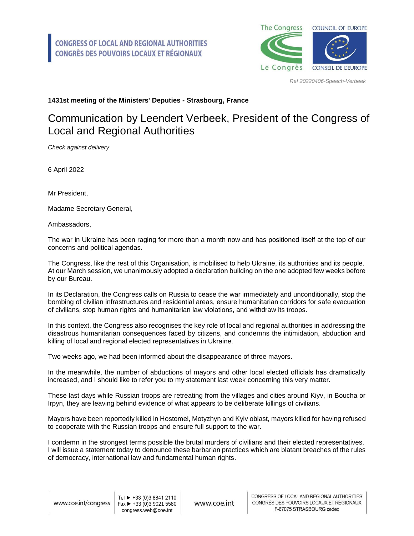

*Ref 20220406-Speech-Verbeek*

## **1431st meeting of the Ministers' Deputies - Strasbourg, France**

## Communication by Leendert Verbeek, President of the Congress of Local and Regional Authorities

*Check against delivery*

6 April 2022

Mr President,

Madame Secretary General,

Ambassadors,

The war in Ukraine has been raging for more than a month now and has positioned itself at the top of our concerns and political agendas.

The Congress, like the rest of this Organisation, is mobilised to help Ukraine, its authorities and its people. At our March session, we unanimously adopted a declaration building on the one adopted few weeks before by our Bureau.

In its Declaration, the Congress calls on Russia to cease the war immediately and unconditionally, stop the bombing of civilian infrastructures and residential areas, ensure humanitarian corridors for safe evacuation of civilians, stop human rights and humanitarian law violations, and withdraw its troops.

In this context, the Congress also recognises the key role of local and regional authorities in addressing the disastrous humanitarian consequences faced by citizens, and condemns the intimidation, abduction and killing of local and regional elected representatives in Ukraine.

Two weeks ago, we had been informed about the disappearance of three mayors.

In the meanwhile, the number of abductions of mayors and other local elected officials has dramatically increased, and I should like to refer you to my statement last week concerning this very matter.

These last days while Russian troops are retreating from the villages and cities around Kiyv, in Boucha or Irpyn, they are leaving behind evidence of what appears to be deliberate killings of civilians.

Mayors have been reportedly killed in Hostomel, Motyzhyn and Kyiv oblast, mayors killed for having refused to cooperate with the Russian troops and ensure full support to the war.

I condemn in the strongest terms possible the brutal murders of civilians and their elected representatives. I will issue a statement today to denounce these barbarian practices which are blatant breaches of the rules of democracy, international law and fundamental human rights.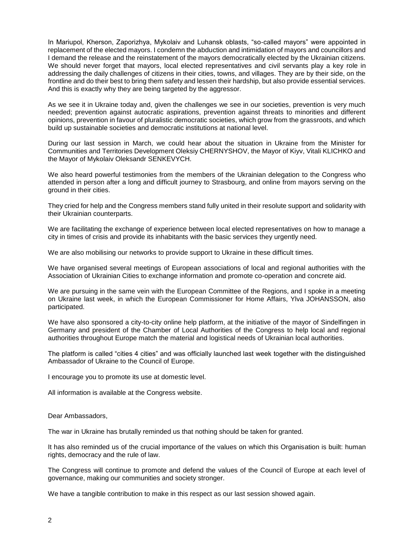In Mariupol, Kherson, Zaporizhya, Mykolaiv and Luhansk oblasts, "so-called mayors" were appointed in replacement of the elected mayors. I condemn the abduction and intimidation of mayors and councillors and I demand the release and the reinstatement of the mayors democratically elected by the Ukrainian citizens. We should never forget that mayors, local elected representatives and civil servants play a key role in addressing the daily challenges of citizens in their cities, towns, and villages. They are by their side, on the frontline and do their best to bring them safety and lessen their hardship, but also provide essential services. And this is exactly why they are being targeted by the aggressor.

As we see it in Ukraine today and, given the challenges we see in our societies, prevention is very much needed; prevention against autocratic aspirations, prevention against threats to minorities and different opinions, prevention in favour of pluralistic democratic societies, which grow from the grassroots, and which build up sustainable societies and democratic institutions at national level.

During our last session in March, we could hear about the situation in Ukraine from the Minister for Communities and Territories Development Oleksiy CHERNYSHOV, the Mayor of Kiyv, Vitali KLICHKO and the Mayor of Mykolaiv Oleksandr SENKEVYCH.

We also heard powerful testimonies from the members of the Ukrainian delegation to the Congress who attended in person after a long and difficult journey to Strasbourg, and online from mayors serving on the ground in their cities.

They cried for help and the Congress members stand fully united in their resolute support and solidarity with their Ukrainian counterparts.

We are facilitating the exchange of experience between local elected representatives on how to manage a city in times of crisis and provide its inhabitants with the basic services they urgently need.

We are also mobilising our networks to provide support to Ukraine in these difficult times.

We have organised several meetings of European associations of local and regional authorities with the Association of Ukrainian Cities to exchange information and promote co-operation and concrete aid.

We are pursuing in the same vein with the European Committee of the Regions, and I spoke in a meeting on Ukraine last week, in which the European Commissioner for Home Affairs, Ylva JOHANSSON, also participated.

We have also sponsored a city-to-city online help platform, at the initiative of the mayor of Sindelfingen in Germany and president of the Chamber of Local Authorities of the Congress to help local and regional authorities throughout Europe match the material and logistical needs of Ukrainian local authorities.

The platform is called "cities 4 cities" and was officially launched last week together with the distinguished Ambassador of Ukraine to the Council of Europe.

I encourage you to promote its use at domestic level.

All information is available at the Congress website.

Dear Ambassadors,

The war in Ukraine has brutally reminded us that nothing should be taken for granted.

It has also reminded us of the crucial importance of the values on which this Organisation is built: human rights, democracy and the rule of law.

The Congress will continue to promote and defend the values of the Council of Europe at each level of governance, making our communities and society stronger.

We have a tangible contribution to make in this respect as our last session showed again.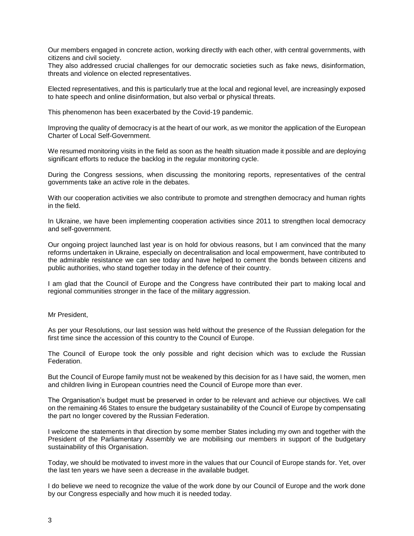Our members engaged in concrete action, working directly with each other, with central governments, with citizens and civil society.

They also addressed crucial challenges for our democratic societies such as fake news, disinformation, threats and violence on elected representatives.

Elected representatives, and this is particularly true at the local and regional level, are increasingly exposed to hate speech and online disinformation, but also verbal or physical threats.

This phenomenon has been exacerbated by the Covid-19 pandemic.

Improving the quality of democracy is at the heart of our work, as we monitor the application of the European Charter of Local Self-Government.

We resumed monitoring visits in the field as soon as the health situation made it possible and are deploying significant efforts to reduce the backlog in the regular monitoring cycle.

During the Congress sessions, when discussing the monitoring reports, representatives of the central governments take an active role in the debates.

With our cooperation activities we also contribute to promote and strengthen democracy and human rights in the field.

In Ukraine, we have been implementing cooperation activities since 2011 to strengthen local democracy and self-government.

Our ongoing project launched last year is on hold for obvious reasons, but I am convinced that the many reforms undertaken in Ukraine, especially on decentralisation and local empowerment, have contributed to the admirable resistance we can see today and have helped to cement the bonds between citizens and public authorities, who stand together today in the defence of their country.

I am glad that the Council of Europe and the Congress have contributed their part to making local and regional communities stronger in the face of the military aggression.

Mr President,

As per your Resolutions, our last session was held without the presence of the Russian delegation for the first time since the accession of this country to the Council of Europe.

The Council of Europe took the only possible and right decision which was to exclude the Russian Federation.

But the Council of Europe family must not be weakened by this decision for as I have said, the women, men and children living in European countries need the Council of Europe more than ever.

The Organisation's budget must be preserved in order to be relevant and achieve our objectives. We call on the remaining 46 States to ensure the budgetary sustainability of the Council of Europe by compensating the part no longer covered by the Russian Federation.

I welcome the statements in that direction by some member States including my own and together with the President of the Parliamentary Assembly we are mobilising our members in support of the budgetary sustainability of this Organisation.

Today, we should be motivated to invest more in the values that our Council of Europe stands for. Yet, over the last ten years we have seen a decrease in the available budget.

I do believe we need to recognize the value of the work done by our Council of Europe and the work done by our Congress especially and how much it is needed today.